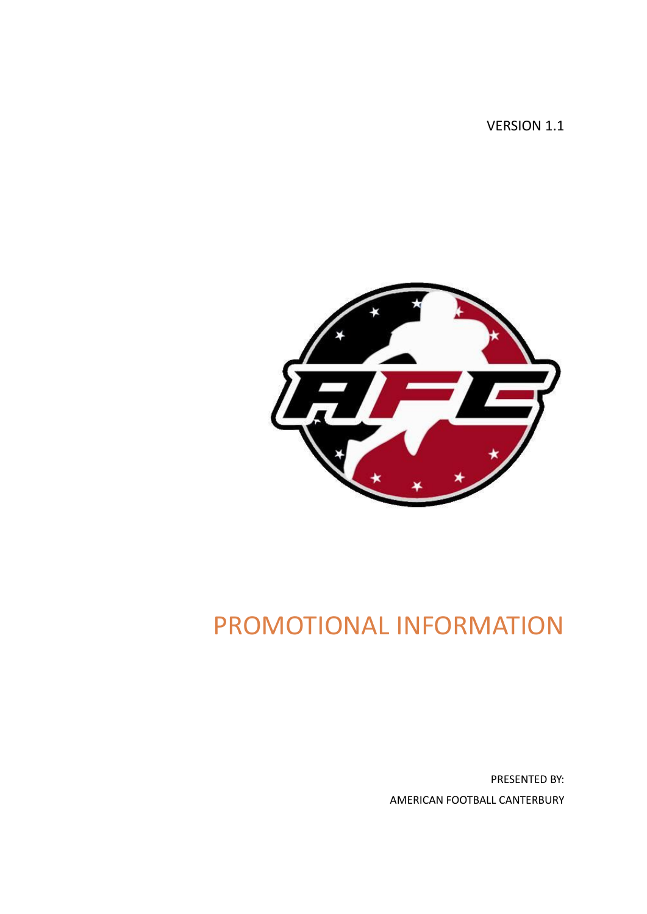VERSION 1.1



# PROMOTIONAL INFORMATION

PRESENTED BY: AMERICAN FOOTBALL CANTERBURY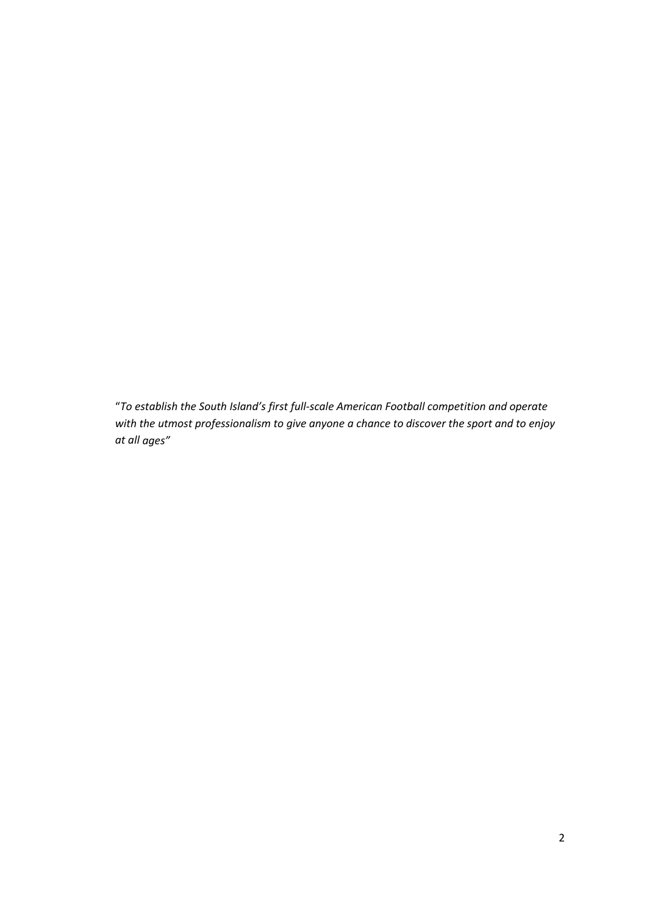"*To establish the South Island's first full-scale American Football competition and operate with the utmost professionalism to give anyone a chance to discover the sport and to enjoy at all ages"*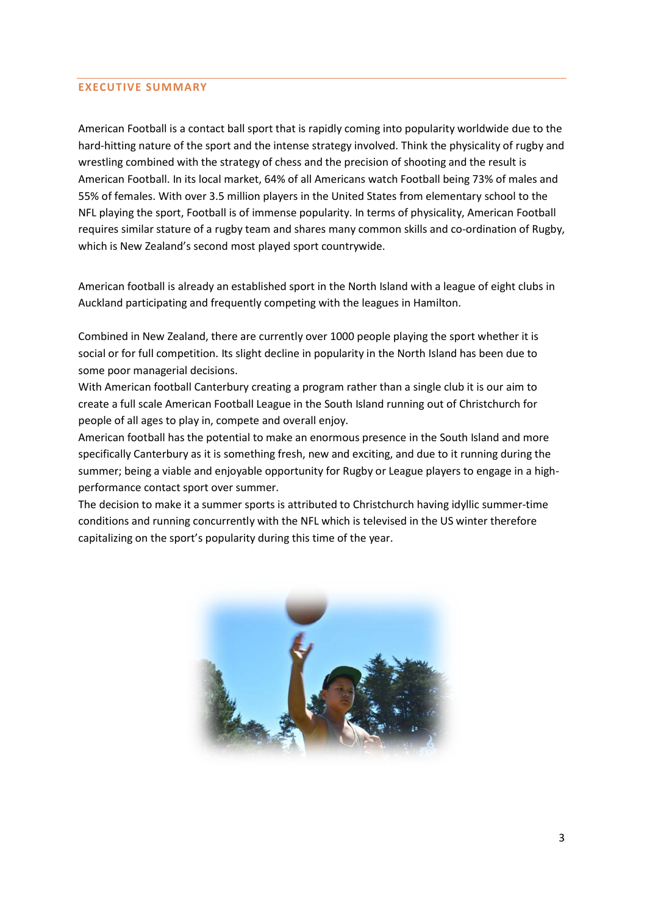#### **EXECUTIVE SUMMARY**

American Football is a contact ball sport that is rapidly coming into popularity worldwide due to the hard-hitting nature of the sport and the intense strategy involved. Think the physicality of rugby and wrestling combined with the strategy of chess and the precision of shooting and the result is American Football. In its local market, 64% of all Americans watch Football being 73% of males and 55% of females. With over 3.5 million players in the United States from elementary school to the NFL playing the sport, Football is of immense popularity. In terms of physicality, American Football requires similar stature of a rugby team and shares many common skills and co-ordination of Rugby, which is New Zealand's second most played sport countrywide.

American football is already an established sport in the North Island with a league of eight clubs in Auckland participating and frequently competing with the leagues in Hamilton.

Combined in New Zealand, there are currently over 1000 people playing the sport whether it is social or for full competition. Its slight decline in popularity in the North Island has been due to some poor managerial decisions.

With American football Canterbury creating a program rather than a single club it is our aim to create a full scale American Football League in the South Island running out of Christchurch for people of all ages to play in, compete and overall enjoy.

American football has the potential to make an enormous presence in the South Island and more specifically Canterbury as it is something fresh, new and exciting, and due to it running during the summer; being a viable and enjoyable opportunity for Rugby or League players to engage in a highperformance contact sport over summer.

The decision to make it a summer sports is attributed to Christchurch having idyllic summer-time conditions and running concurrently with the NFL which is televised in the US winter therefore capitalizing on the sport's popularity during this time of the year.

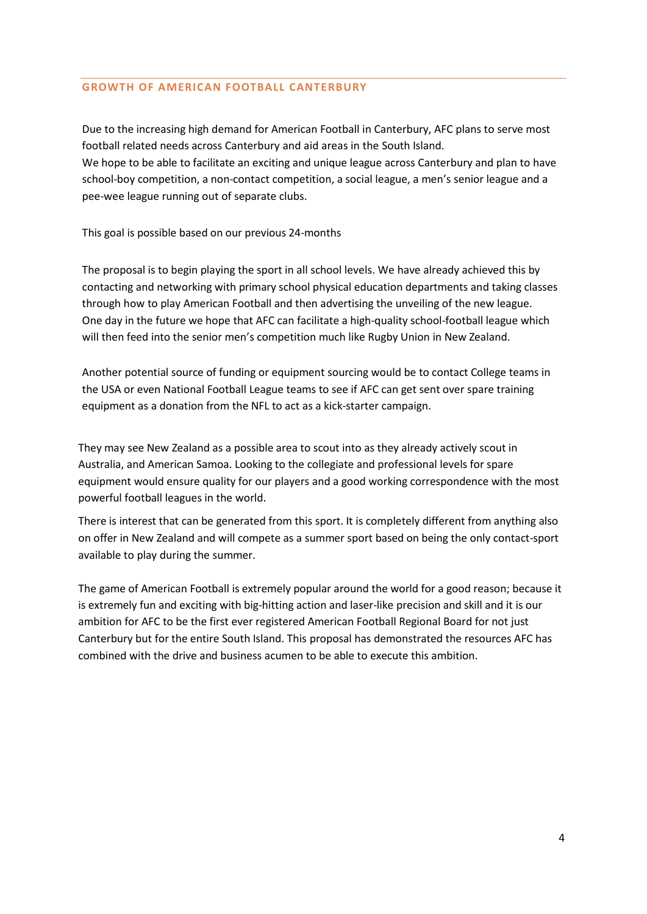## **GROWTH OF AMERICAN FOOTBALL CANTERBURY**

Due to the increasing high demand for American Football in Canterbury, AFC plans to serve most football related needs across Canterbury and aid areas in the South Island. We hope to be able to facilitate an exciting and unique league across Canterbury and plan to have school-boy competition, a non-contact competition, a social league, a men's senior league and a pee-wee league running out of separate clubs.

This goal is possible based on our previous 24-months

The proposal is to begin playing the sport in all school levels. We have already achieved this by contacting and networking with primary school physical education departments and taking classes through how to play American Football and then advertising the unveiling of the new league. One day in the future we hope that AFC can facilitate a high-quality school-football league which will then feed into the senior men's competition much like Rugby Union in New Zealand.

Another potential source of funding or equipment sourcing would be to contact College teams in the USA or even National Football League teams to see if AFC can get sent over spare training equipment as a donation from the NFL to act as a kick-starter campaign.

They may see New Zealand as a possible area to scout into as they already actively scout in Australia, and American Samoa. Looking to the collegiate and professional levels for spare equipment would ensure quality for our players and a good working correspondence with the most powerful football leagues in the world.

There is interest that can be generated from this sport. It is completely different from anything also on offer in New Zealand and will compete as a summer sport based on being the only contact-sport available to play during the summer.

The game of American Football is extremely popular around the world for a good reason; because it is extremely fun and exciting with big-hitting action and laser-like precision and skill and it is our ambition for AFC to be the first ever registered American Football Regional Board for not just Canterbury but for the entire South Island. This proposal has demonstrated the resources AFC has combined with the drive and business acumen to be able to execute this ambition.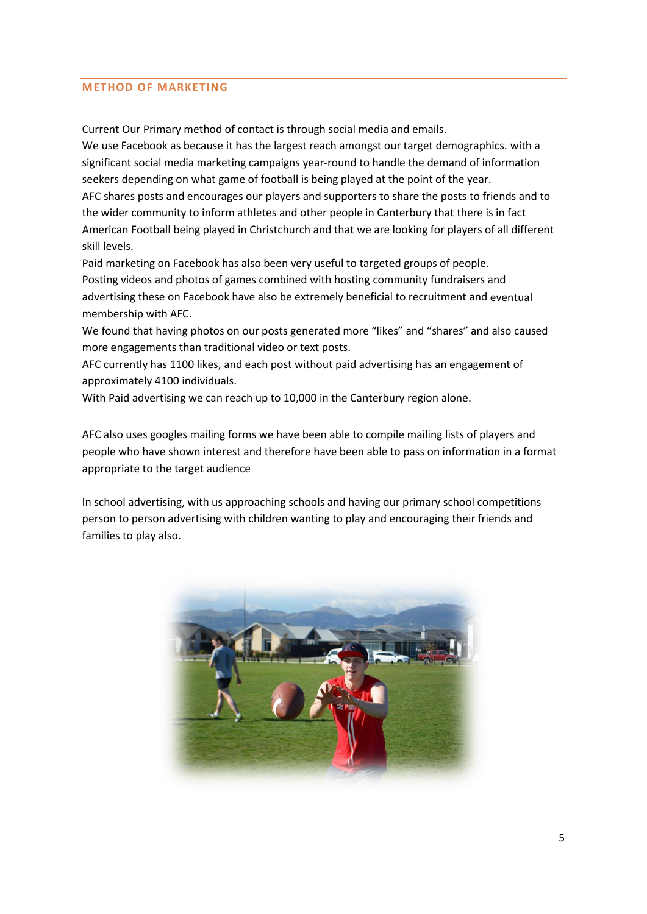#### **METHOD OF MARKETING**

Current Our Primary method of contact is through social media and emails.

We use Facebook as because it has the largest reach amongst our target demographics. with a significant social media marketing campaigns year-round to handle the demand of information seekers depending on what game of football is being played at the point of the year. AFC shares posts and encourages our players and supporters to share the posts to friends and to the wider community to inform athletes and other people in Canterbury that there is in fact American Football being played in Christchurch and that we are looking for players of all different skill levels.

Paid marketing on Facebook has also been very useful to targeted groups of people. Posting videos and photos of games combined with hosting community fundraisers and advertising these on Facebook have also be extremely beneficial to recruitment and eventual membership with AFC.

We found that having photos on our posts generated more "likes" and "shares" and also caused more engagements than traditional video or text posts.

AFC currently has 1100 likes, and each post without paid advertising has an engagement of approximately 4100 individuals.

With Paid advertising we can reach up to 10,000 in the Canterbury region alone.

AFC also uses googles mailing forms we have been able to compile mailing lists of players and people who have shown interest and therefore have been able to pass on information in a format appropriate to the target audience

In school advertising, with us approaching schools and having our primary school competitions person to person advertising with children wanting to play and encouraging their friends and families to play also.

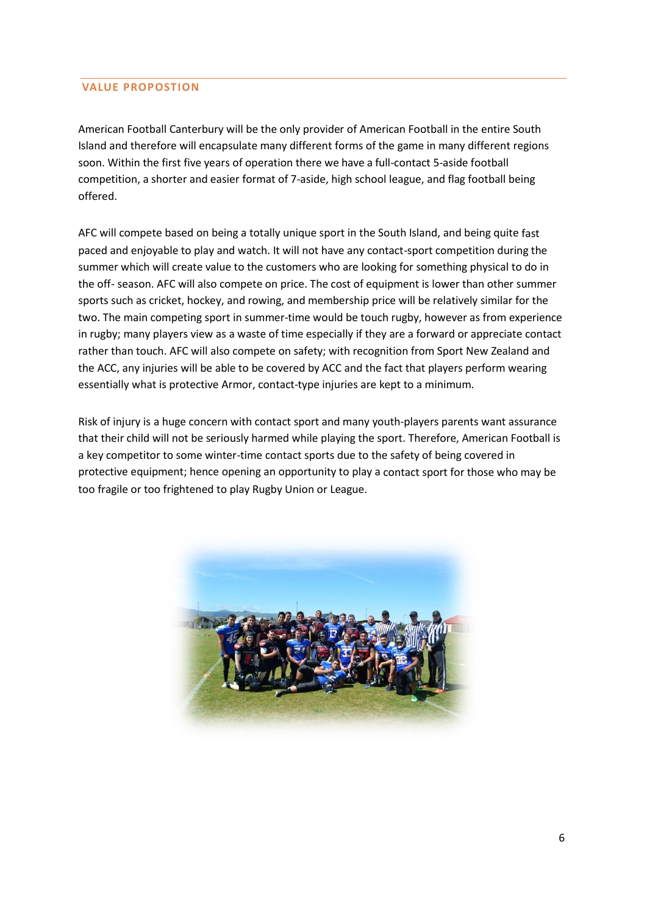## **VALUE PROPOSTION**

American Football Canterbury will be the only provider of American Football in the entire South Island and therefore will encapsulate many different forms of the game in many different regions soon. Within the first five years of operation there we have a full-contact 5-aside football competition, a shorter and easier format of 7-aside, high school league, and flag football being offered.

AFC will compete based on being a totally unique sport in the South Island, and being quite fast paced and enjoyable to play and watch. It will not have any contact-sport competition during the summer which will create value to the customers who are looking for something physical to do in the off- season. AFC will also compete on price. The cost of equipment is lower than other summer sports such as cricket, hockey, and rowing, and membership price will be relatively similar for the two. The main competing sport in summer-time would be touch rugby, however as from experience in rugby; many players view as a waste of time especially if they are a forward or appreciate contact rather than touch. AFC will also compete on safety; with recognition from Sport New Zealand and the ACC, any injuries will be able to be covered by ACC and the fact that players perform wearing essentially what is protective Armor, contact-type injuries are kept to a minimum.

Risk of injury is a huge concern with contact sport and many youth-players parents want assurance that their child will not be seriously harmed while playing the sport. Therefore, American Football is a key competitor to some winter-time contact sports due to the safety of being covered in protective equipment; hence opening an opportunity to play a contact sport for those who may be too fragile or too frightened to play Rugby Union or League.

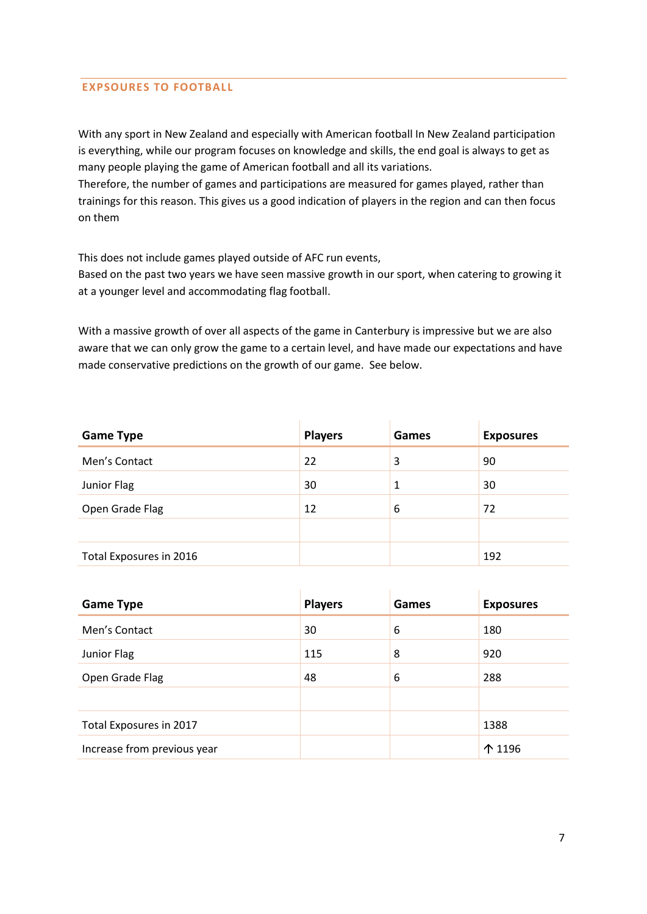# **EXPSOURES TO FOOTBALL**

With any sport in New Zealand and especially with American football In New Zealand participation is everything, while our program focuses on knowledge and skills, the end goal is always to get as many people playing the game of American football and all its variations.

Therefore, the number of games and participations are measured for games played, rather than trainings for this reason. This gives us a good indication of players in the region and can then focus on them

This does not include games played outside of AFC run events,

Based on the past two years we have seen massive growth in our sport, when catering to growing it at a younger level and accommodating flag football.

With a massive growth of over all aspects of the game in Canterbury is impressive but we are also aware that we can only grow the game to a certain level, and have made our expectations and have made conservative predictions on the growth of our game. See below.

| <b>Game Type</b>        | <b>Players</b> | Games | <b>Exposures</b> |
|-------------------------|----------------|-------|------------------|
| Men's Contact           | 22             | 3     | 90               |
| Junior Flag             | 30             | 1     | 30               |
| Open Grade Flag         | 12             | 6     | 72               |
|                         |                |       |                  |
| Total Exposures in 2016 |                |       | 192              |

| <b>Game Type</b>            | <b>Players</b> | Games | <b>Exposures</b> |
|-----------------------------|----------------|-------|------------------|
| Men's Contact               | 30             | 6     | 180              |
| Junior Flag                 | 115            | 8     | 920              |
| Open Grade Flag             | 48             | 6     | 288              |
|                             |                |       |                  |
| Total Exposures in 2017     |                |       | 1388             |
| Increase from previous year |                |       | 个 1196           |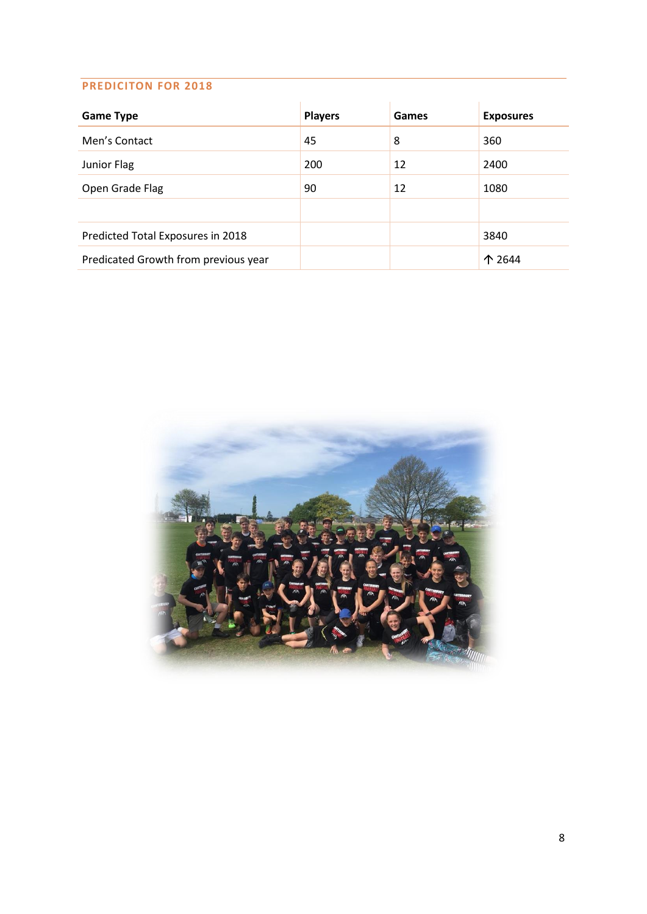## **PREDICITON FOR 2018**

| <b>Game Type</b>                     | <b>Players</b> | Games | <b>Exposures</b> |
|--------------------------------------|----------------|-------|------------------|
| Men's Contact                        | 45             | 8     | 360              |
| Junior Flag                          | 200            | 12    | 2400             |
| Open Grade Flag                      | 90             | 12    | 1080             |
|                                      |                |       |                  |
| Predicted Total Exposures in 2018    |                |       | 3840             |
| Predicated Growth from previous year |                |       | ↑ 2644           |